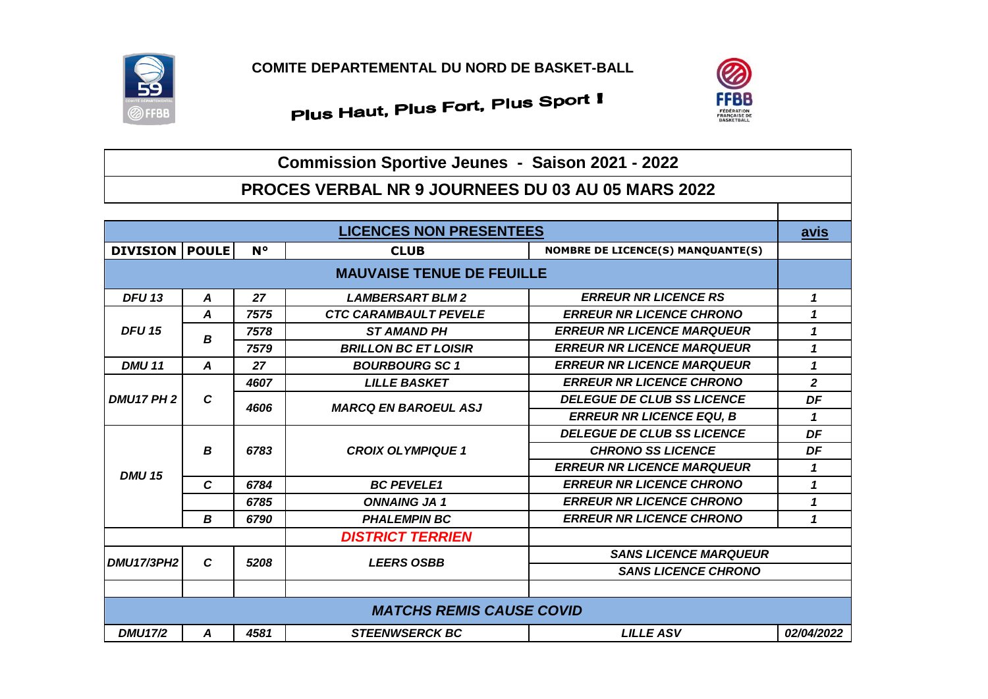ÈC **<sup><sup>***⊙***</sup>**FFBB</sup>

Г

**COMITE DEPARTEMENTAL DU NORD DE BASKET-BALL**



┑

Plus Haut, Plus Fort, Plus Sport I

|                                  |                  |           | <b>Commission Sportive Jeunes - Saison 2021 - 2022</b>   |                                                 |                |  |  |  |
|----------------------------------|------------------|-----------|----------------------------------------------------------|-------------------------------------------------|----------------|--|--|--|
|                                  |                  |           | <b>PROCES VERBAL NR 9 JOURNEES DU 03 AU 05 MARS 2022</b> |                                                 |                |  |  |  |
|                                  |                  |           |                                                          |                                                 |                |  |  |  |
| <b>LICENCES NON PRESENTEES</b>   |                  |           |                                                          |                                                 |                |  |  |  |
| <b>DIVISION   POULE</b>          |                  | <b>N°</b> | <b>CLUB</b>                                              | NOMBRE DE LICENCE(S) MANQUANTE(S)               |                |  |  |  |
| <b>MAUVAISE TENUE DE FEUILLE</b> |                  |           |                                                          |                                                 |                |  |  |  |
| <b>DFU 13</b>                    | A                | 27        | <b>LAMBERSART BLM2</b>                                   | <b>ERREUR NR LICENCE RS</b>                     | $\mathbf{1}$   |  |  |  |
|                                  | A                | 7575      | <b>CTC CARAMBAULT PEVELE</b>                             | <b>ERREUR NR LICENCE CHRONO</b>                 | $\mathbf 1$    |  |  |  |
| <b>DFU 15</b>                    | B                | 7578      | <b>ST AMAND PH</b>                                       | <b>ERREUR NR LICENCE MARQUEUR</b>               | $\mathbf{1}$   |  |  |  |
|                                  |                  | 7579      | <b>BRILLON BC ET LOISIR</b>                              | <b>ERREUR NR LICENCE MARQUEUR</b>               | $\mathbf{1}$   |  |  |  |
| <b>DMU 11</b>                    | $\boldsymbol{A}$ | 27        | <b>BOURBOURG SC 1</b>                                    | <b>ERREUR NR LICENCE MARQUEUR</b>               | $\mathbf{1}$   |  |  |  |
|                                  |                  | 4607      | <b>LILLE BASKET</b>                                      | <b>ERREUR NR LICENCE CHRONO</b>                 | $\overline{2}$ |  |  |  |
| <b>DMU17 PH 2</b>                | C                | 4606      | <b>MARCQ EN BAROEUL ASJ</b>                              | <b>DELEGUE DE CLUB SS LICENCE</b>               | DF             |  |  |  |
|                                  |                  |           |                                                          | <b>ERREUR NR LICENCE EQU, B</b>                 | 1              |  |  |  |
| <b>DMU 15</b>                    | B                | 6783      | <b>CROIX OLYMPIQUE 1</b>                                 | <b>DELEGUE DE CLUB SS LICENCE</b>               | DF             |  |  |  |
|                                  |                  |           |                                                          | <b>CHRONO SS LICENCE</b>                        | DF             |  |  |  |
|                                  |                  |           |                                                          | <b>ERREUR NR LICENCE MARQUEUR</b>               | $\mathbf{1}$   |  |  |  |
|                                  | $\mathbf C$      | 6784      | <b>BC PEVELE1</b>                                        | <b>ERREUR NR LICENCE CHRONO</b><br>$\mathbf{1}$ |                |  |  |  |
|                                  |                  | 6785      | <b>ONNAING JA1</b>                                       | <b>ERREUR NR LICENCE CHRONO</b>                 | $\mathbf{1}$   |  |  |  |
|                                  | B                | 6790      | <b>PHALEMPIN BC</b>                                      | <b>ERREUR NR LICENCE CHRONO</b>                 | $\mathbf{1}$   |  |  |  |
|                                  |                  |           | <b>DISTRICT TERRIEN</b>                                  |                                                 |                |  |  |  |
| <b>DMU17/3PH2</b>                | $\mathbf{C}$     | 5208      | <b>LEERS OSBB</b>                                        | <b>SANS LICENCE MARQUEUR</b>                    |                |  |  |  |
|                                  |                  |           |                                                          | <b>SANS LICENCE CHRONO</b>                      |                |  |  |  |
|                                  |                  |           |                                                          |                                                 |                |  |  |  |
| <b>MATCHS REMIS CAUSE COVID</b>  |                  |           |                                                          |                                                 |                |  |  |  |
| <b>DMU17/2</b>                   | A                | 4581      | <b>STEENWSERCK BC</b>                                    | <b>LILLE ASV</b>                                | 02/04/2022     |  |  |  |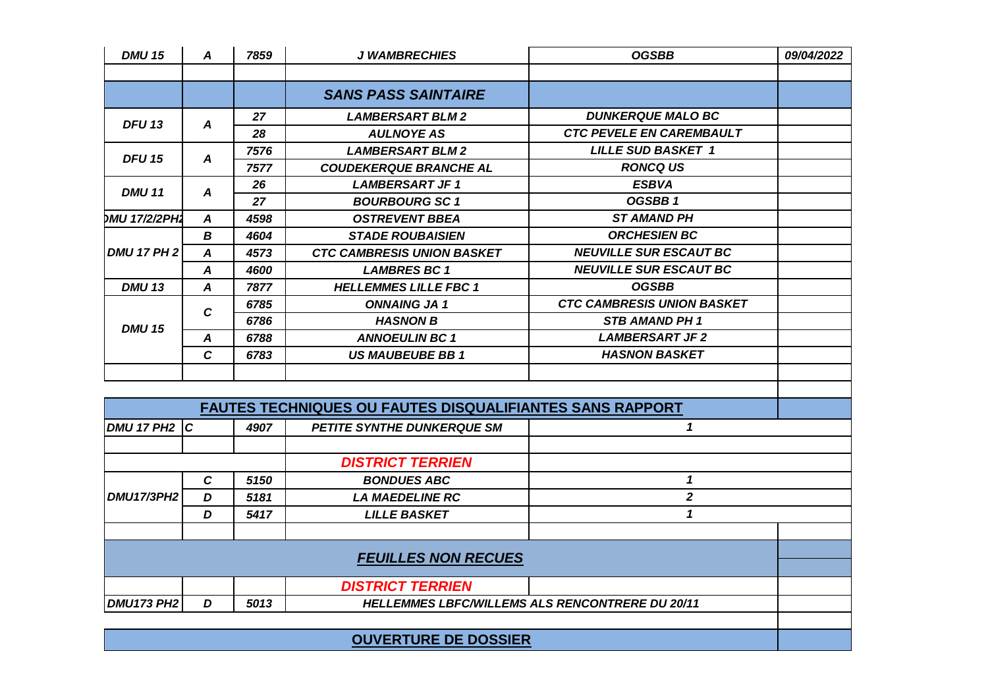| <b>DMU 15</b>                 | A                                                            | 7859 | <b>J WAMBRECHIES</b>                                            | <b>OGSBB</b>                      | 09/04/2022 |  |
|-------------------------------|--------------------------------------------------------------|------|-----------------------------------------------------------------|-----------------------------------|------------|--|
|                               |                                                              |      |                                                                 |                                   |            |  |
|                               |                                                              |      | <b>SANS PASS SAINTAIRE</b>                                      |                                   |            |  |
| <b>DFU 13</b>                 | A                                                            | 27   | <b>LAMBERSART BLM 2</b>                                         | <b>DUNKERQUE MALO BC</b>          |            |  |
|                               |                                                              | 28   | <b>AULNOYE AS</b>                                               | <b>CTC PEVELE EN CAREMBAULT</b>   |            |  |
| <b>DFU 15</b>                 | A                                                            | 7576 | <b>LAMBERSART BLM 2</b>                                         | <b>LILLE SUD BASKET 1</b>         |            |  |
|                               |                                                              | 7577 | <b>COUDEKERQUE BRANCHE AL</b>                                   | <b>RONCQ US</b>                   |            |  |
| <b>DMU 11</b>                 |                                                              | 26   | <b>LAMBERSART JF1</b>                                           | <b>ESBVA</b>                      |            |  |
|                               | A                                                            | 27   | <b>BOURBOURG SC 1</b>                                           | OGSBB1                            |            |  |
| <b>DMU 17/2/2PH2</b>          | A                                                            | 4598 | <b>OSTREVENT BBEA</b>                                           | <b>ST AMAND PH</b>                |            |  |
|                               | B                                                            | 4604 | <b>STADE ROUBAISIEN</b>                                         | <b>ORCHESIEN BC</b>               |            |  |
| <b>DMU 17 PH 2</b>            | A                                                            | 4573 | <b>CTC CAMBRESIS UNION BASKET</b>                               | <b>NEUVILLE SUR ESCAUT BC</b>     |            |  |
|                               | A                                                            | 4600 | <b>LAMBRES BC 1</b>                                             | <b>NEUVILLE SUR ESCAUT BC</b>     |            |  |
| <b>DMU 13</b>                 | $\boldsymbol{A}$                                             | 7877 | <b>HELLEMMES LILLE FBC 1</b>                                    | <b>OGSBB</b>                      |            |  |
|                               | $\mathbf c$                                                  | 6785 | <b>ONNAING JA1</b>                                              | <b>CTC CAMBRESIS UNION BASKET</b> |            |  |
| <b>DMU 15</b>                 |                                                              | 6786 | <b>HASNON B</b>                                                 | <b>STB AMAND PH1</b>              |            |  |
|                               | A                                                            | 6788 | <b>ANNOEULIN BC 1</b>                                           | <b>LAMBERSART JF2</b>             |            |  |
|                               | $\mathbf{C}$                                                 | 6783 | <b>US MAUBEUBE BB1</b>                                          | <b>HASNON BASKET</b>              |            |  |
|                               |                                                              |      |                                                                 |                                   |            |  |
|                               |                                                              |      |                                                                 |                                   |            |  |
|                               |                                                              |      | <b>FAUTES TECHNIQUES OU FAUTES DISQUALIFIANTES SANS RAPPORT</b> |                                   |            |  |
| $DMU$ 17 PH <sub>2</sub> $ C$ |                                                              | 4907 | <b>PETITE SYNTHE DUNKERQUE SM</b>                               | $\mathbf{1}$                      |            |  |
|                               |                                                              |      |                                                                 |                                   |            |  |
|                               |                                                              |      | <b>DISTRICT TERRIEN</b>                                         |                                   |            |  |
|                               | $\mathbf c$                                                  | 5150 | <b>BONDUES ABC</b>                                              | $\mathbf{1}$                      |            |  |
| <b>DMU17/3PH2</b>             | D                                                            | 5181 | <b>LA MAEDELINE RC</b>                                          | $\overline{2}$                    |            |  |
|                               | D                                                            | 5417 | <b>LILLE BASKET</b>                                             | $\mathbf{1}$                      |            |  |
|                               |                                                              |      |                                                                 |                                   |            |  |
|                               |                                                              |      |                                                                 |                                   |            |  |
| <b>FEUILLES NON RECUES</b>    |                                                              |      |                                                                 |                                   |            |  |
|                               |                                                              |      | <b>DISTRICT TERRIEN</b>                                         |                                   |            |  |
| <b>DMU173 PH2</b>             | HELLEMMES LBFC/WILLEMS ALS RENCONTRERE DU 20/11<br>D<br>5013 |      |                                                                 |                                   |            |  |
|                               |                                                              |      |                                                                 |                                   |            |  |
|                               |                                                              |      | <b>OUVERTURE DE DOSSIER</b>                                     |                                   |            |  |

the control of the control of the control of the control of the